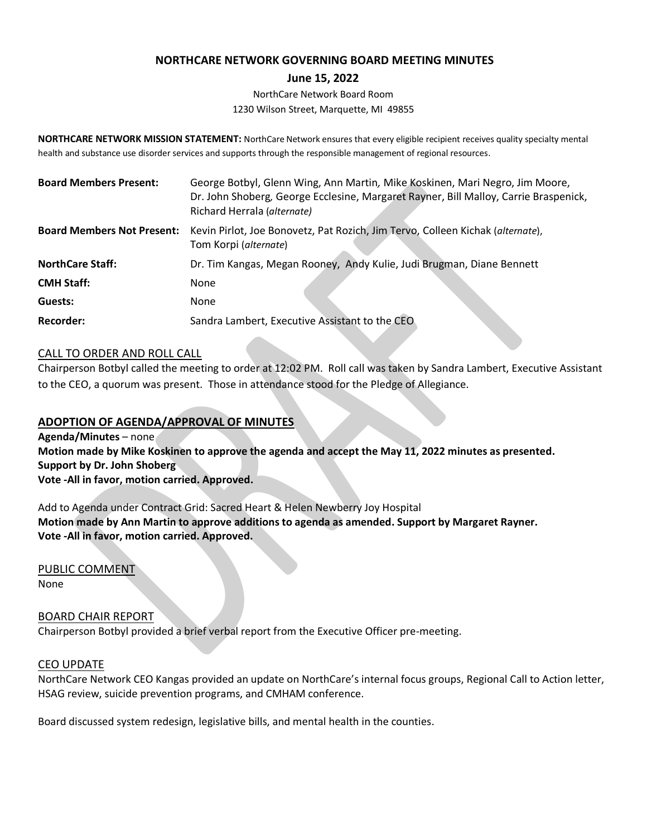# **NORTHCARE NETWORK GOVERNING BOARD MEETING MINUTES**

### **June 15, 2022**

NorthCare Network Board Room 1230 Wilson Street, Marquette, MI 49855

**NORTHCARE NETWORK MISSION STATEMENT:** NorthCare Network ensures that every eligible recipient receives quality specialty mental health and substance use disorder services and supports through the responsible management of regional resources.

| <b>Board Members Present:</b>     | George Botbyl, Glenn Wing, Ann Martin, Mike Koskinen, Mari Negro, Jim Moore,<br>Dr. John Shoberg, George Ecclesine, Margaret Rayner, Bill Malloy, Carrie Braspenick,<br>Richard Herrala (alternate) |
|-----------------------------------|-----------------------------------------------------------------------------------------------------------------------------------------------------------------------------------------------------|
| <b>Board Members Not Present:</b> | Kevin Pirlot, Joe Bonovetz, Pat Rozich, Jim Tervo, Colleen Kichak (alternate),<br>Tom Korpi (alternate)                                                                                             |
| <b>NorthCare Staff:</b>           | Dr. Tim Kangas, Megan Rooney, Andy Kulie, Judi Brugman, Diane Bennett                                                                                                                               |
| <b>CMH Staff:</b>                 | None                                                                                                                                                                                                |
| Guests:                           | <b>None</b>                                                                                                                                                                                         |
| <b>Recorder:</b>                  | Sandra Lambert, Executive Assistant to the CEO                                                                                                                                                      |

### CALL TO ORDER AND ROLL CALL

Chairperson Botbyl called the meeting to order at 12:02 PM. Roll call was taken by Sandra Lambert, Executive Assistant to the CEO, a quorum was present. Those in attendance stood for the Pledge of Allegiance.

## **ADOPTION OF AGENDA/APPROVAL OF MINUTES**

**Agenda/Minutes** – none **Motion made by Mike Koskinen to approve the agenda and accept the May 11, 2022 minutes as presented. Support by Dr. John Shoberg Vote -All in favor, motion carried. Approved.**

Add to Agenda under Contract Grid: Sacred Heart & Helen Newberry Joy Hospital **Motion made by Ann Martin to approve additions to agenda as amended. Support by Margaret Rayner. Vote -All in favor, motion carried. Approved.**

PUBLIC COMMENT

None

BOARD CHAIR REPORT Chairperson Botbyl provided a brief verbal report from the Executive Officer pre-meeting.

### CEO UPDATE

NorthCare Network CEO Kangas provided an update on NorthCare's internal focus groups, Regional Call to Action letter, HSAG review, suicide prevention programs, and CMHAM conference.

Board discussed system redesign, legislative bills, and mental health in the counties.